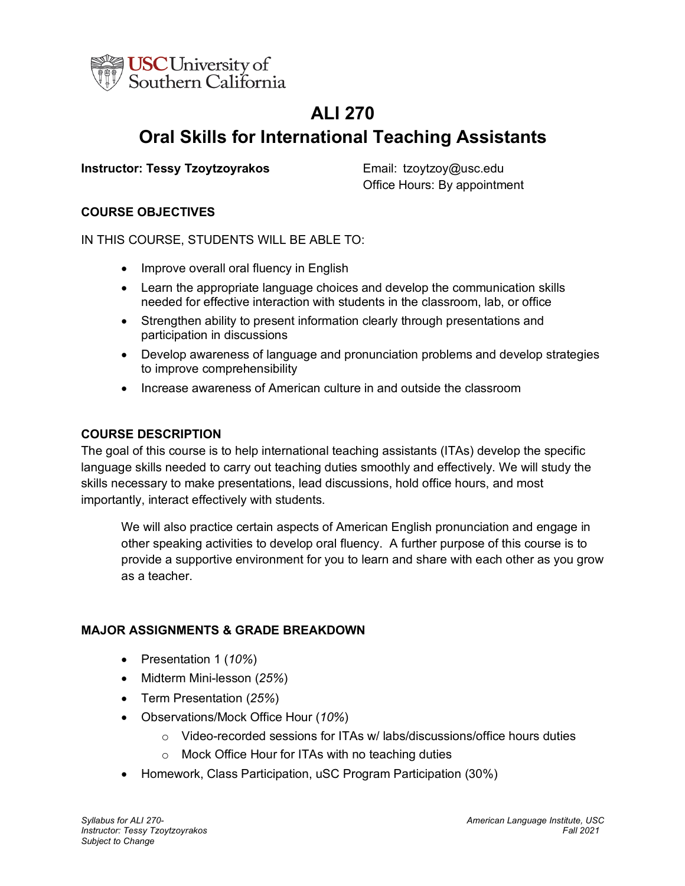

# **ALI 270 Oral Skills for International Teaching Assistants**

# **Instructor: Tessy Tzoytzoyrakos** Email: tzoytzoy@usc.edu

Office Hours: By appointment

# **COURSE OBJECTIVES**

IN THIS COURSE, STUDENTS WILL BE ABLE TO:

- Improve overall oral fluency in English
- Learn the appropriate language choices and develop the communication skills needed for effective interaction with students in the classroom, lab, or office
- Strengthen ability to present information clearly through presentations and participation in discussions
- Develop awareness of language and pronunciation problems and develop strategies to improve comprehensibility
- Increase awareness of American culture in and outside the classroom

## **COURSE DESCRIPTION**

The goal of this course is to help international teaching assistants (ITAs) develop the specific language skills needed to carry out teaching duties smoothly and effectively. We will study the skills necessary to make presentations, lead discussions, hold office hours, and most importantly, interact effectively with students.

We will also practice certain aspects of American English pronunciation and engage in other speaking activities to develop oral fluency. A further purpose of this course is to provide a supportive environment for you to learn and share with each other as you grow as a teacher.

## **MAJOR ASSIGNMENTS & GRADE BREAKDOWN**

- Presentation 1 (*10%*)
- Midterm Mini-lesson (*25%*)
- Term Presentation (*25%*)
- Observations/Mock Office Hour (*10%*)
	- $\circ$  Video-recorded sessions for ITAs w/ labs/discussions/office hours duties
	- o Mock Office Hour for ITAs with no teaching duties
- Homework, Class Participation, uSC Program Participation (30%)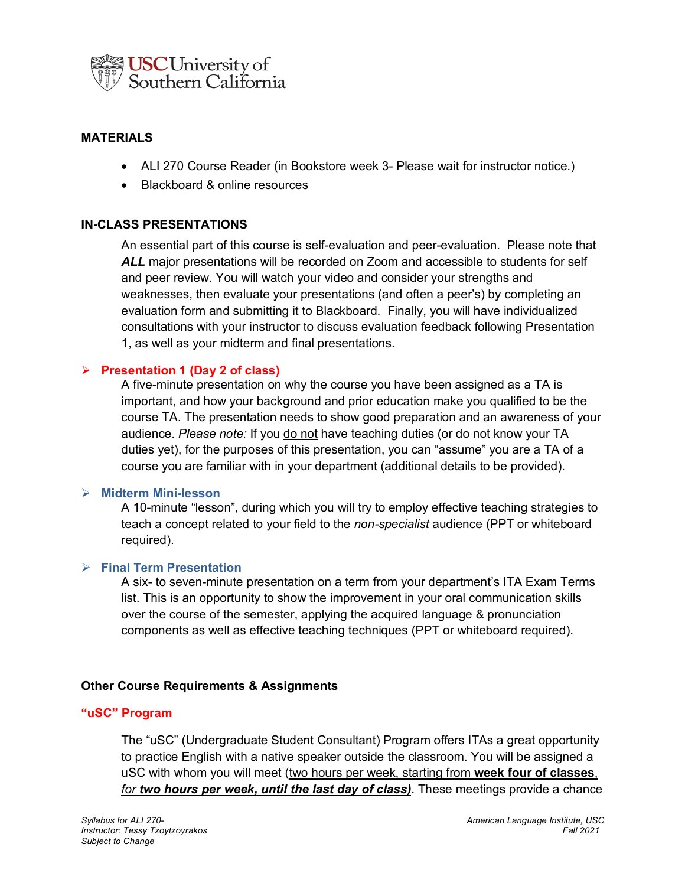

## **MATERIALS**

- ALI 270 Course Reader (in Bookstore week 3- Please wait for instructor notice.)
- Blackboard & online resources

#### **IN-CLASS PRESENTATIONS**

An essential part of this course is self-evaluation and peer-evaluation. Please note that *ALL* major presentations will be recorded on Zoom and accessible to students for self and peer review. You will watch your video and consider your strengths and weaknesses, then evaluate your presentations (and often a peer's) by completing an evaluation form and submitting it to Blackboard. Finally, you will have individualized consultations with your instructor to discuss evaluation feedback following Presentation 1, as well as your midterm and final presentations.

#### Ø **Presentation 1 (Day 2 of class)**

A five-minute presentation on why the course you have been assigned as a TA is important, and how your background and prior education make you qualified to be the course TA. The presentation needs to show good preparation and an awareness of your audience. *Please note:* If you do not have teaching duties (or do not know your TA duties yet), for the purposes of this presentation, you can "assume" you are a TA of a course you are familiar with in your department (additional details to be provided).

#### Ø **Midterm Mini-lesson**

A 10-minute "lesson", during which you will try to employ effective teaching strategies to teach a concept related to your field to the *non-specialist* audience (PPT or whiteboard required).

#### Ø **Final Term Presentation**

A six- to seven-minute presentation on a term from your department's ITA Exam Terms list. This is an opportunity to show the improvement in your oral communication skills over the course of the semester, applying the acquired language & pronunciation components as well as effective teaching techniques (PPT or whiteboard required).

#### **Other Course Requirements & Assignments**

#### **"uSC" Program**

The "uSC" (Undergraduate Student Consultant) Program offers ITAs a great opportunity to practice English with a native speaker outside the classroom. You will be assigned a uSC with whom you will meet (two hours per week, starting from **week four of classes**, *for two hours per week, until the last day of class)*. These meetings provide a chance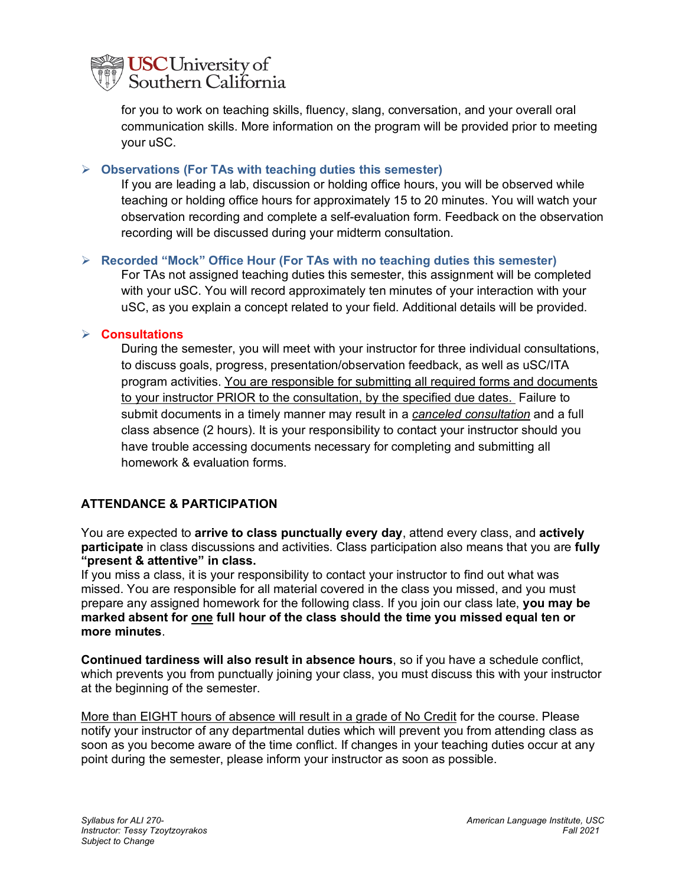

for you to work on teaching skills, fluency, slang, conversation, and your overall oral communication skills. More information on the program will be provided prior to meeting your uSC.

#### Ø **Observations (For TAs with teaching duties this semester)**

If you are leading a lab, discussion or holding office hours, you will be observed while teaching or holding office hours for approximately 15 to 20 minutes. You will watch your observation recording and complete a self-evaluation form. Feedback on the observation recording will be discussed during your midterm consultation.

#### Ø **Recorded "Mock" Office Hour (For TAs with no teaching duties this semester)**

For TAs not assigned teaching duties this semester, this assignment will be completed with your uSC. You will record approximately ten minutes of your interaction with your uSC, as you explain a concept related to your field. Additional details will be provided.

#### Ø **Consultations**

During the semester, you will meet with your instructor for three individual consultations, to discuss goals, progress, presentation/observation feedback, as well as uSC/ITA program activities. You are responsible for submitting all required forms and documents to your instructor PRIOR to the consultation, by the specified due dates. Failure to submit documents in a timely manner may result in a *canceled consultation* and a full class absence (2 hours). It is your responsibility to contact your instructor should you have trouble accessing documents necessary for completing and submitting all homework & evaluation forms.

## **ATTENDANCE & PARTICIPATION**

You are expected to **arrive to class punctually every day**, attend every class, and **actively participate** in class discussions and activities. Class participation also means that you are **fully "present & attentive" in class.** 

If you miss a class, it is your responsibility to contact your instructor to find out what was missed. You are responsible for all material covered in the class you missed, and you must prepare any assigned homework for the following class. If you join our class late, **you may be marked absent for one full hour of the class should the time you missed equal ten or more minutes**.

**Continued tardiness will also result in absence hours**, so if you have a schedule conflict, which prevents you from punctually joining your class, you must discuss this with your instructor at the beginning of the semester.

More than EIGHT hours of absence will result in a grade of No Credit for the course. Please notify your instructor of any departmental duties which will prevent you from attending class as soon as you become aware of the time conflict. If changes in your teaching duties occur at any point during the semester, please inform your instructor as soon as possible.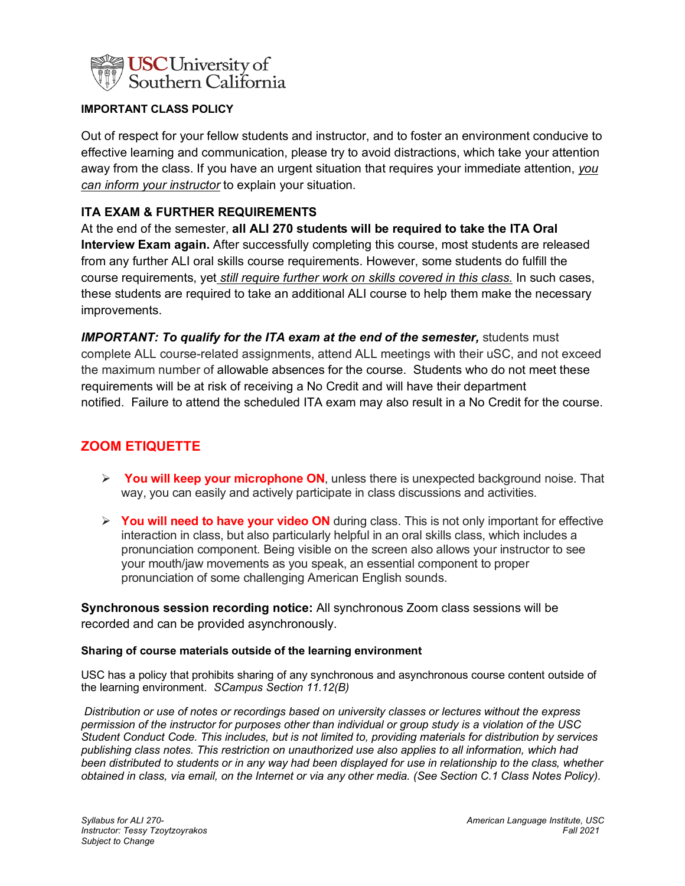

#### **IMPORTANT CLASS POLICY**

Out of respect for your fellow students and instructor, and to foster an environment conducive to effective learning and communication, please try to avoid distractions, which take your attention away from the class. If you have an urgent situation that requires your immediate attention, *you can inform your instructor* to explain your situation.

## **ITA EXAM & FURTHER REQUIREMENTS**

At the end of the semester, **all ALI 270 students will be required to take the ITA Oral Interview Exam again.** After successfully completing this course, most students are released from any further ALI oral skills course requirements. However, some students do fulfill the course requirements, yet *still require further work on skills covered in this class.* In such cases, these students are required to take an additional ALI course to help them make the necessary improvements.

*IMPORTANT: To qualify for the ITA exam at the end of the semester, students must* complete ALL course-related assignments, attend ALL meetings with their uSC, and not exceed the maximum number of allowable absences for the course. Students who do not meet these requirements will be at risk of receiving a No Credit and will have their department notified. Failure to attend the scheduled ITA exam may also result in a No Credit for the course.

# **ZOOM ETIQUETTE**

- Ø **You will keep your microphone ON**, unless there is unexpected background noise. That way, you can easily and actively participate in class discussions and activities.
- Ø **You will need to have your video ON** during class. This is not only important for effective interaction in class, but also particularly helpful in an oral skills class, which includes a pronunciation component. Being visible on the screen also allows your instructor to see your mouth/jaw movements as you speak, an essential component to proper pronunciation of some challenging American English sounds.

**Synchronous session recording notice:** All synchronous Zoom class sessions will be recorded and can be provided asynchronously.

#### **Sharing of course materials outside of the learning environment**

USC has a policy that prohibits sharing of any synchronous and asynchronous course content outside of the learning environment. *SCampus Section 11.12(B)* 

*Distribution or use of notes or recordings based on university classes or lectures without the express permission of the instructor for purposes other than individual or group study is a violation of the USC Student Conduct Code. This includes, but is not limited to, providing materials for distribution by services publishing class notes. This restriction on unauthorized use also applies to all information, which had been distributed to students or in any way had been displayed for use in relationship to the class, whether obtained in class, via email, on the Internet or via any other media. (See Section C.1 Class Notes Policy).*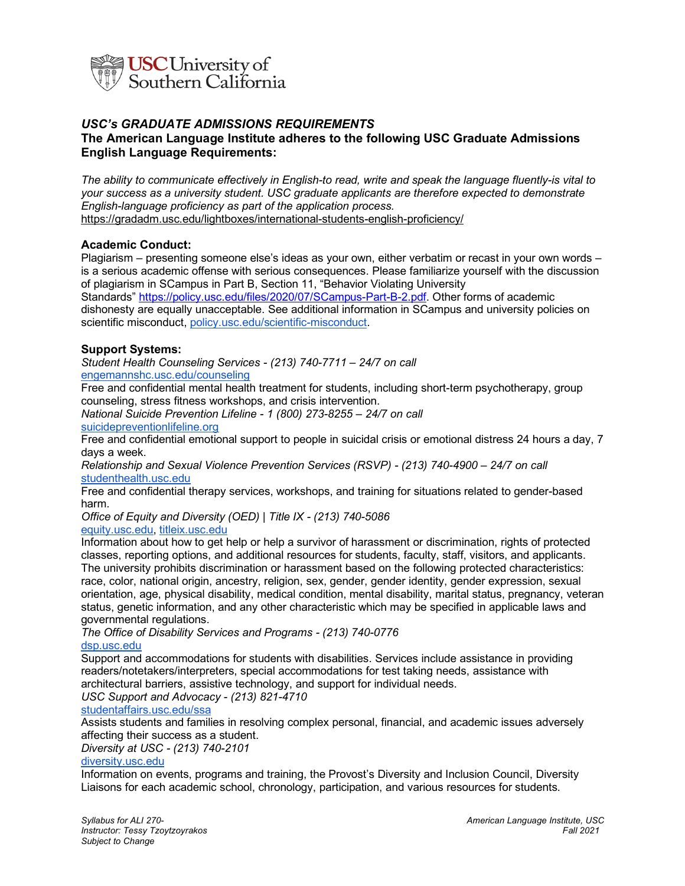

# *USC's GRADUATE ADMISSIONS REQUIREMENTS*

#### **The American Language Institute adheres to the following USC Graduate Admissions English Language Requirements:**

*The ability to communicate effectively in English-to read, write and speak the language fluently-is vital to your success as a university student. USC graduate applicants are therefore expected to demonstrate English-language proficiency as part of the application process.* https://gradadm.usc.edu/lightboxes/international-students-english-proficiency/

#### **Academic Conduct:**

Plagiarism – presenting someone else's ideas as your own, either verbatim or recast in your own words – is a serious academic offense with serious consequences. Please familiarize yourself with the discussion of plagiarism in SCampus in Part B, Section 11, "Behavior Violating University Standards" https://policy.usc.edu/files/2020/07/SCampus-Part-B-2.pdf. Other forms of academic dishonesty are equally unacceptable. See additional information in SCampus and university policies on scientific misconduct, policy.usc.edu/scientific-misconduct.

#### **Support Systems:**

*Student Health Counseling Services - (213) 740-7711 – 24/7 on call* engemannshc.usc.edu/counseling

Free and confidential mental health treatment for students, including short-term psychotherapy, group counseling, stress fitness workshops, and crisis intervention.

*National Suicide Prevention Lifeline - 1 (800) 273-8255 – 24/7 on call* suicidepreventionlifeline.org

Free and confidential emotional support to people in suicidal crisis or emotional distress 24 hours a day, 7 days a week.

*Relationship and Sexual Violence Prevention Services (RSVP) - (213) 740-4900 – 24/7 on call* studenthealth.usc.edu

Free and confidential therapy services, workshops, and training for situations related to gender-based harm.

*Office of Equity and Diversity (OED) | Title IX - (213) 740-5086* equity.usc.edu, titleix.usc.edu

Information about how to get help or help a survivor of harassment or discrimination, rights of protected classes, reporting options, and additional resources for students, faculty, staff, visitors, and applicants. The university prohibits discrimination or harassment based on the following protected characteristics: race, color, national origin, ancestry, religion, sex, gender, gender identity, gender expression, sexual orientation, age, physical disability, medical condition, mental disability, marital status, pregnancy, veteran status, genetic information, and any other characteristic which may be specified in applicable laws and governmental regulations.

*The Office of Disability Services and Programs - (213) 740-0776* dsp.usc.edu

Support and accommodations for students with disabilities. Services include assistance in providing readers/notetakers/interpreters, special accommodations for test taking needs, assistance with architectural barriers, assistive technology, and support for individual needs.

*USC Support and Advocacy - (213) 821-4710*

#### studentaffairs.usc.edu/ssa

Assists students and families in resolving complex personal, financial, and academic issues adversely affecting their success as a student.

*Diversity at USC - (213) 740-2101*

#### diversity.usc.edu

Information on events, programs and training, the Provost's Diversity and Inclusion Council, Diversity Liaisons for each academic school, chronology, participation, and various resources for students.